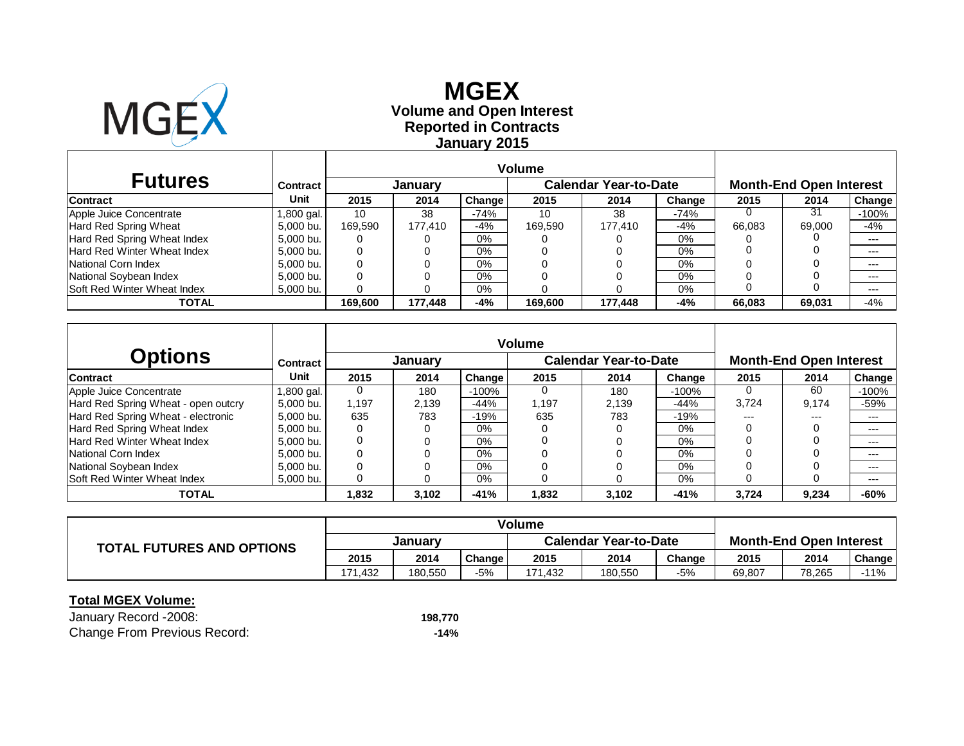

# **Reported in Contracts Volume and Open Interest MGEXJanuary 2015**

| <b>Futures</b>                     | Contract  | January |         |        |         | <b>Calendar Year-to-Date</b> |        | <b>Month-End Open Interest</b> |                 |         |
|------------------------------------|-----------|---------|---------|--------|---------|------------------------------|--------|--------------------------------|-----------------|---------|
| <b>Contract</b>                    | Unit      | 2015    | 2014    | Change | 2015    | 2014                         | Change | 2015                           | 2014            | Change  |
| Apple Juice Concentrate            | .800 gal. | 10      | 38      | $-74%$ | 10      | 38                           | $-74%$ |                                | $\overline{3}1$ | -100%   |
| Hard Red Spring Wheat              | 5.000 bu. | 169.590 | 177.410 | -4%    | 169.590 | 177.410                      | -4%    | 66.083                         | 69,000          | -4%     |
| Hard Red Spring Wheat Index        | 5,000 bu. | 0       |         | 0%     |         |                              | 0%     |                                |                 | $---$   |
| Hard Red Winter Wheat Index        | 5,000 bu. | 0       |         | 0%     |         |                              | 0%     |                                |                 | $--$    |
| National Corn Index                | 5,000 bu. | 0       |         | 0%     |         |                              | $0\%$  |                                |                 | $---$   |
| National Soybean Index             | 5,000 bu. | 0       |         | 0%     |         |                              | 0%     |                                |                 | $- - -$ |
| <b>Soft Red Winter Wheat Index</b> | 5,000 bu. | 0       |         | 0%     |         |                              | $0\%$  |                                |                 | $---$   |
| TOTAL                              |           | 169.600 | 177.448 | -4%    | 169.600 | 177.448                      | -4%    | 66.083                         | 69,031          | $-4%$   |

|                                     |                          | <b>Volume</b> |         |         |       |                              |        |       |                                |         |
|-------------------------------------|--------------------------|---------------|---------|---------|-------|------------------------------|--------|-------|--------------------------------|---------|
| <b>Options</b>                      | Contract                 |               | January |         |       | <b>Calendar Year-to-Date</b> |        |       | <b>Month-End Open Interest</b> |         |
| <b>Contract</b>                     | Unit                     | 2015          | 2014    | Change  | 2015  | 2014                         | Change | 2015  | 2014                           | Change  |
| Apple Juice Concentrate             | ,800 gal.                | $\Omega$      | 180     | $-100%$ | 0     | 180                          | -100%  |       | 60                             | $-100%$ |
| Hard Red Spring Wheat - open outcry | 5,000 bu.                | 1.197         | 2,139   | $-44%$  | 1.197 | 2.139                        | $-44%$ | 3,724 | 9,174                          | $-59%$  |
| Hard Red Spring Wheat - electronic  | 5.000 bu.                | 635           | 783     | $-19%$  | 635   | 783                          | $-19%$ | $---$ | ---                            | $---$   |
| Hard Red Spring Wheat Index         | 5.000 bu.                | 0             |         | 0%      |       |                              | $0\%$  |       |                                | $---$   |
| Hard Red Winter Wheat Index         | 5.000 bu.                | 0             |         | 0%      |       |                              | $0\%$  |       |                                | $---$   |
| National Corn Index                 | 5.000 bu.                | 0             |         | $0\%$   |       |                              | 0%     |       |                                | $---$   |
| National Soybean Index              | 5.000 bu.                | 0             |         | 0%      |       |                              | 0%     |       |                                | $---$   |
| Soft Red Winter Wheat Index         | 5,000 bu.                | 0             |         | 0%      |       |                              | $0\%$  |       |                                | $---$   |
| TOTAL                               | $-41%$<br>3,102<br>1,832 |               |         | 1,832   | 3,102 | $-41%$                       | 3,724  | 9,234 | -60%                           |         |

| <b>TOTAL FUTURES AND OPTIONS</b> |         |         |        |                              |         |        |                                |        |        |  |
|----------------------------------|---------|---------|--------|------------------------------|---------|--------|--------------------------------|--------|--------|--|
|                                  | January |         |        | <b>Calendar Year-to-Date</b> |         |        | <b>Month-End Open Interest</b> |        |        |  |
|                                  | 2015    | 2014    | Change | 2015                         | 2014    | Change | 2015                           | 2014   | Change |  |
|                                  | 171.432 | 180.550 | -5%    | 171,432                      | 180,550 | -5%    | 69,807                         | 78,265 | $-11%$ |  |

### **Total MGEX Volume:**

January Record -2008: **198,770** Change From Previous Record: **-14%**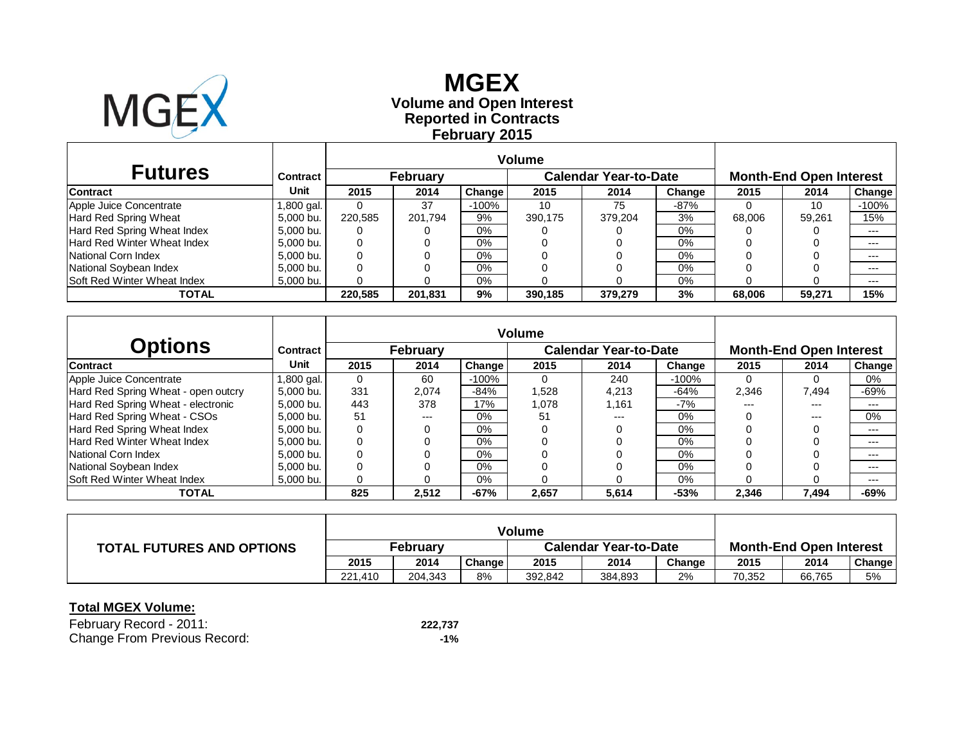

# **Reported in Contracts Volume and Open Interest MGEX February 2015**

|                                    |            | <b>Volume</b>   |         |         |                              |         |        |                                |        |         |
|------------------------------------|------------|-----------------|---------|---------|------------------------------|---------|--------|--------------------------------|--------|---------|
| <b>Futures</b>                     | Contract   | <b>February</b> |         |         | <b>Calendar Year-to-Date</b> |         |        | <b>Month-End Open Interest</b> |        |         |
| <b>Contract</b>                    | Unit       | 2015            | 2014    | Change  | 2015                         | 2014    | Change | 2015                           | 2014   | Change  |
| Apple Juice Concentrate            | 1,800 gal. |                 | 37      | $-100%$ | 10                           | 75      | $-87%$ |                                | 10     | $-100%$ |
| Hard Red Spring Wheat              | 5.000 bu.  | 220.585         | 201.794 | 9%      | 390.175                      | 379.204 | 3%     | 68,006                         | 59.261 | 15%     |
| Hard Red Spring Wheat Index        | 5,000 bu.  |                 |         | $0\%$   |                              |         | 0%     |                                |        | $---$   |
| Hard Red Winter Wheat Index        | 5,000 bu.  | 0               |         | $0\%$   |                              |         | $0\%$  |                                |        | $---$   |
| National Corn Index                | 5,000 bu.  |                 |         | $0\%$   |                              |         | $0\%$  |                                |        | $--$    |
| National Soybean Index             | 5,000 bu.  |                 |         | $0\%$   |                              |         | $0\%$  |                                |        | $---$   |
| <b>Soft Red Winter Wheat Index</b> | 5,000 bu.  |                 |         | $0\%$   |                              |         | 0%     |                                |        | $---$   |
| TOTAL                              |            | 220.585         | 201.831 | 9%      | 390.185                      | 379,279 | 3%     | 68,006                         | 59.271 | 15%     |

|                                     |            | <b>Volume</b> |       |         |        |                              |         |                                |       |               |  |
|-------------------------------------|------------|---------------|-------|---------|--------|------------------------------|---------|--------------------------------|-------|---------------|--|
| <b>Options</b>                      | Contract   | February      |       |         |        | <b>Calendar Year-to-Date</b> |         | <b>Month-End Open Interest</b> |       |               |  |
| <b>Contract</b>                     | Unit       | 2015          | 2014  | Change  | 2015   | 2014                         | Change  | 2015                           | 2014  | <b>Change</b> |  |
| Apple Juice Concentrate             | 1,800 gal. | 0             | 60    | $-100%$ |        | 240                          | $-100%$ |                                |       | 0%            |  |
| Hard Red Spring Wheat - open outcry | 5.000 bu.  | 331           | 2.074 | $-84%$  | 528. ا | 4.213                        | -64%    | 2,346                          | 7.494 | -69%          |  |
| Hard Red Spring Wheat - electronic  | 5.000 bu.  | 443           | 378   | 17%     | 1,078  | 1.161                        | -7%     | ---                            | ---   | $- - -$       |  |
| Hard Red Spring Wheat - CSOs        | 5.000 bu.  | 51            | $---$ | 0%      | 51     | ---                          | $0\%$   |                                | $---$ | 0%            |  |
| Hard Red Spring Wheat Index         | 5.000 bu.  | 0             | 0     | 0%      |        |                              | $0\%$   |                                |       | $---$         |  |
| Hard Red Winter Wheat Index         | 5.000 bu.  | 0             |       | 0%      |        |                              | $0\%$   |                                |       | $---$         |  |
| National Corn Index                 | 5.000 bu.  | 0             |       | 0%      |        |                              | $0\%$   |                                |       | $---$         |  |
| National Soybean Index              | 5.000 bu.  | 0             |       | 0%      |        |                              | $0\%$   |                                |       | $---$         |  |
| <b>Soft Red Winter Wheat Index</b>  | 5,000 bu.  | 0             |       | 0%      |        |                              | $0\%$   |                                |       | $---$         |  |
| TOTAL                               |            | 825           | 2,512 | $-67%$  | 2.657  | 5,614                        | $-53%$  | 2,346                          | 7,494 | $-69%$        |  |

|                                  | <b>Volume</b>   |         |        |                              |         |        |                                |        |               |
|----------------------------------|-----------------|---------|--------|------------------------------|---------|--------|--------------------------------|--------|---------------|
| <b>TOTAL FUTURES AND OPTIONS</b> | <b>February</b> |         |        | <b>Calendar Year-to-Date</b> |         |        | <b>Month-End Open Interest</b> |        |               |
|                                  | 2015            | 2014    | Change | 2015                         | 2014    | Change | 2015                           | 2014   | <b>Change</b> |
|                                  | 221.410         | 204.343 | 8%     | 392.842                      | 384,893 | 2%     | 70.352                         | 66,765 | 5%            |

| February Record - 2011:      | 222.737 |
|------------------------------|---------|
| Change From Previous Record: | $-1%$   |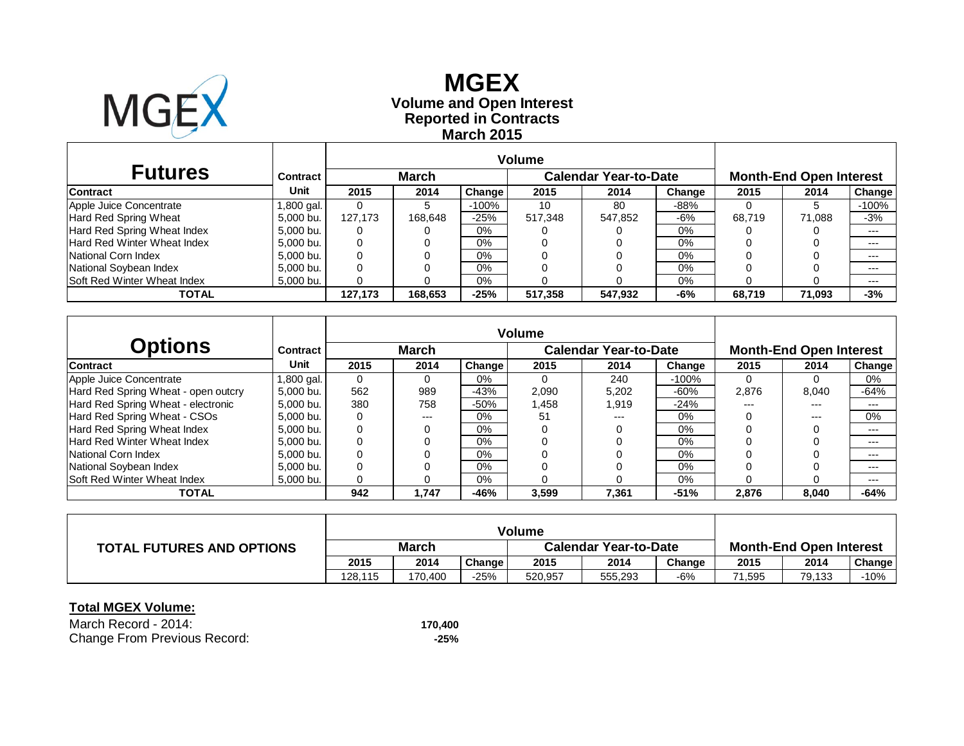

### **Reported in Contracts Volume and Open Interest MGEX March 2015**

| <b>Futures</b>                     | Contract   |                              | <b>March</b> |         |         | <b>Calendar Year-to-Date</b> |        |        | <b>Month-End Open Interest</b> |         |  |
|------------------------------------|------------|------------------------------|--------------|---------|---------|------------------------------|--------|--------|--------------------------------|---------|--|
| <b>Contract</b>                    | Unit       | 2015                         | 2014         | Change  | 2015    | 2014                         | Change | 2015   | 2014                           | Change  |  |
| Apple Juice Concentrate            | 1,800 gal. |                              |              | $-100%$ | 10      | 80                           | $-88%$ |        |                                | $-100%$ |  |
| Hard Red Spring Wheat              | 5,000 bu.  | 127.173                      | 168.648      | $-25%$  | 517,348 | 547,852                      | -6%    | 68.719 | 71.088                         | $-3%$   |  |
| Hard Red Spring Wheat Index        | 5,000 bu.  |                              |              | $0\%$   |         |                              | 0%     |        |                                | $--$    |  |
| Hard Red Winter Wheat Index        | 5,000 bu.  | 0                            |              | $0\%$   |         |                              | $0\%$  |        |                                | $---$   |  |
| National Corn Index                | 5,000 bu.  |                              |              | $0\%$   |         |                              | $0\%$  |        |                                | $---$   |  |
| National Soybean Index             | 5,000 bu.  |                              |              | $0\%$   |         |                              | $0\%$  |        |                                | $---$   |  |
| <b>Soft Red Winter Wheat Index</b> | 5,000 bu.  |                              |              | $0\%$   |         |                              | 0%     |        |                                | $---$   |  |
| TOTAL                              |            | $-25%$<br>127.173<br>168.653 |              |         | 517.358 | 547,932                      | -6%    | 68.719 | 71.093                         | $-3%$   |  |

|                                     |               |             |       |                     | <b>Volume</b> |                              |         |       |                                |        |  |  |
|-------------------------------------|---------------|-------------|-------|---------------------|---------------|------------------------------|---------|-------|--------------------------------|--------|--|--|
| <b>Options</b>                      | Contract      |             | March |                     |               | <b>Calendar Year-to-Date</b> |         |       | <b>Month-End Open Interest</b> |        |  |  |
| <b>Contract</b>                     | Unit          | 2015        | 2014  | Change <sup>1</sup> | 2015          | 2014                         | Change  | 2015  | 2014                           | Change |  |  |
| Apple Juice Concentrate             | l ,800 gal. l | $\Omega$    | 0     | $0\%$               |               | 240                          | $-100%$ |       |                                | 0%     |  |  |
| Hard Red Spring Wheat - open outcry | 5.000 bu.     | 562         | 989   | $-43%$              | 2,090         | 5,202                        | $-60%$  | 2,876 | 8.040                          | $-64%$ |  |  |
| Hard Red Spring Wheat - electronic  | 5.000 bu.     | 380         | 758   | $-50%$              | 1,458         | 1.919                        | $-24%$  | ---   | ---                            | $---$  |  |  |
| Hard Red Spring Wheat - CSOs        | 5.000 bu.     | 0           | $---$ | 0%                  | 51            | ---                          | $0\%$   |       | $---$                          | 0%     |  |  |
| Hard Red Spring Wheat Index         | 5.000 bu.     | 0           | 0     | 0%                  |               |                              | $0\%$   |       |                                | $---$  |  |  |
| Hard Red Winter Wheat Index         | 5.000 bu.     | $\mathbf 0$ |       | 0%                  |               |                              | $0\%$   |       |                                | $---$  |  |  |
| National Corn Index                 | 5.000 bu.     | 0           |       | 0%                  |               |                              | $0\%$   |       |                                | $---$  |  |  |
| National Soybean Index              | 5.000 bu.     | 0           |       | 0%                  |               |                              | $0\%$   |       |                                | $---$  |  |  |
| <b>Soft Red Winter Wheat Index</b>  | 5.000 bu.     | 0           |       | 0%                  |               |                              | $0\%$   |       |                                | $---$  |  |  |
| TOTAL                               |               | 942         | 1.747 | $-46%$              | 3,599         | 7,361                        | $-51%$  | 2,876 | 8.040                          | $-64%$ |  |  |

|                                  | <b>Volume</b> |         |        |                              |         |        |                                |        |        |
|----------------------------------|---------------|---------|--------|------------------------------|---------|--------|--------------------------------|--------|--------|
| <b>TOTAL FUTURES AND OPTIONS</b> | <b>March</b>  |         |        | <b>Calendar Year-to-Date</b> |         |        | <b>Month-End Open Interest</b> |        |        |
|                                  | 2015          | 2014    | Change | 2015                         | 2014    | Change | 2015                           | 2014   | Change |
|                                  | 128.115       | 170.400 | -25%   | 520.957                      | 555,293 | $-6%$  | 71,595                         | 79,133 | $-10%$ |

| March Record - 2014:         | 170.400 |
|------------------------------|---------|
| Change From Previous Record: | -25%    |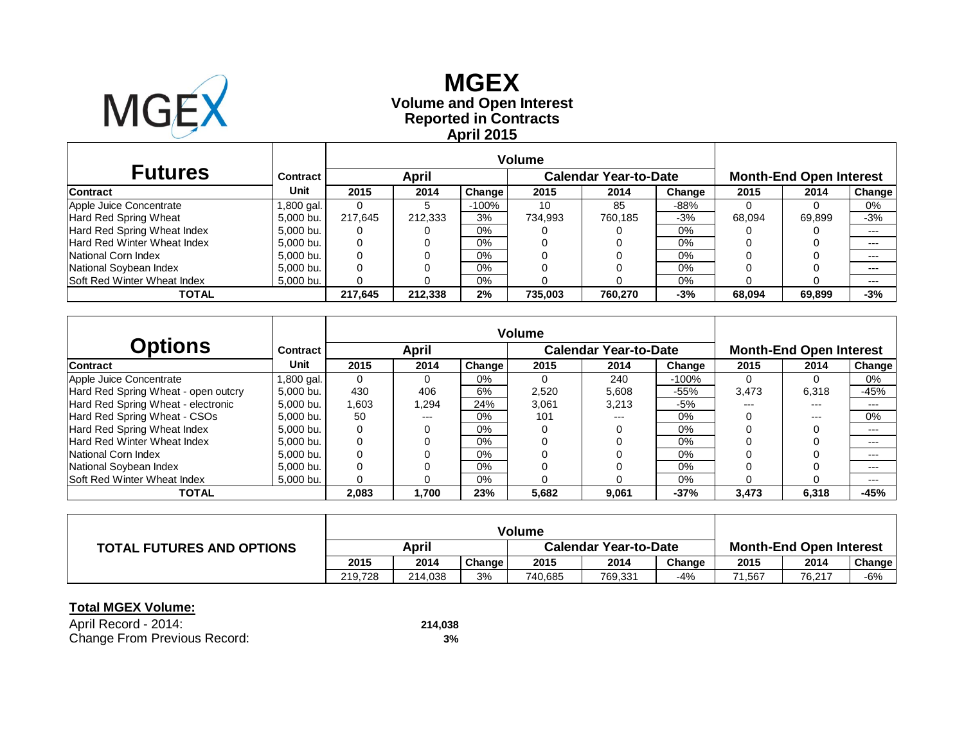

# **Reported in Contracts Volume and Open Interest MGEX April 2015**

|                                    |            | <b>Volume</b> |              |         |                              |         |        |                                |        |        |
|------------------------------------|------------|---------------|--------------|---------|------------------------------|---------|--------|--------------------------------|--------|--------|
| <b>Futures</b>                     | Contract   |               | <b>April</b> |         | <b>Calendar Year-to-Date</b> |         |        | <b>Month-End Open Interest</b> |        |        |
| <b>Contract</b>                    | Unit       | 2015          | 2014         | Change  | 2015                         | 2014    | Change | 2015                           | 2014   | Change |
| Apple Juice Concentrate            | 1,800 gal. |               |              | $-100%$ | 10                           | 85      | $-88%$ |                                |        | 0%     |
| Hard Red Spring Wheat              | 5.000 bu.  | 217.645       | 212.333      | 3%      | 734,993                      | 760.185 | $-3%$  | 68.094                         | 69.899 | $-3%$  |
| Hard Red Spring Wheat Index        | 5,000 bu.  |               |              | $0\%$   |                              |         | 0%     |                                |        | $---$  |
| Hard Red Winter Wheat Index        | 5,000 bu.  | 0             |              | $0\%$   |                              |         | $0\%$  |                                |        | $---$  |
| National Corn Index                | 5,000 bu.  |               |              | $0\%$   |                              |         | $0\%$  |                                |        | $--$   |
| National Soybean Index             | 5,000 bu.  |               |              | $0\%$   |                              |         | $0\%$  |                                |        | $---$  |
| <b>Soft Red Winter Wheat Index</b> | 5,000 bu.  |               |              | $0\%$   |                              |         | 0%     |                                |        | $---$  |
| TOTAL                              |            | 217.645       | 212.338      | 2%      | 735.003                      | 760.270 | -3%    | 68.094                         | 69.899 | $-3%$  |

|                                     |            | <b>Volume</b> |       |        |       |                              |         |                                |       |               |  |
|-------------------------------------|------------|---------------|-------|--------|-------|------------------------------|---------|--------------------------------|-------|---------------|--|
| <b>Options</b>                      | Contract   |               | April |        |       | <b>Calendar Year-to-Date</b> |         | <b>Month-End Open Interest</b> |       |               |  |
| <b>Contract</b>                     | Unit       | 2015          | 2014  | Change | 2015  | 2014                         | Change  | 2015                           | 2014  | <b>Change</b> |  |
| Apple Juice Concentrate             | 1,800 gal. | $\Omega$      | 0     | $0\%$  |       | 240                          | $-100%$ |                                |       | 0%            |  |
| Hard Red Spring Wheat - open outcry | 5.000 bu.  | 430           | 406   | 6%     | 2,520 | 5,608                        | -55%    | 3,473                          | 6,318 | -45%          |  |
| Hard Red Spring Wheat - electronic  | 5.000 bu.  | 1,603         | .294  | 24%    | 3.061 | 3.213                        | $-5%$   | ---                            | ---   | $---$         |  |
| Hard Red Spring Wheat - CSOs        | 5.000 bu.  | 50            | $---$ | 0%     | 101   |                              | $0\%$   |                                | $---$ | 0%            |  |
| Hard Red Spring Wheat Index         | 5.000 bu.  | 0             | 0     | 0%     |       |                              | $0\%$   |                                |       | $---$         |  |
| Hard Red Winter Wheat Index         | 5.000 bu.  | $\mathbf 0$   |       | 0%     |       |                              | $0\%$   |                                |       | $---$         |  |
| National Corn Index                 | 5.000 bu.  | 0             |       | 0%     |       |                              | $0\%$   |                                |       | $---$         |  |
| National Soybean Index              | 5.000 bu.  | 0             |       | 0%     |       |                              | $0\%$   |                                |       | $---$         |  |
| Soft Red Winter Wheat Index         | 5.000 bu.  | 0             |       | 0%     |       |                              | 0%      |                                |       | $---$         |  |
| TOTAL                               |            | 2,083         | 1,700 | 23%    | 5,682 | 9,061                        | $-37%$  | 3,473                          | 6,318 | $-45%$        |  |

|                                  | <b>Volume</b> |         |        |                              |         |        |                                |        |        |
|----------------------------------|---------------|---------|--------|------------------------------|---------|--------|--------------------------------|--------|--------|
| <b>TOTAL FUTURES AND OPTIONS</b> | April         |         |        | <b>Calendar Year-to-Date</b> |         |        | <b>Month-End Open Interest</b> |        |        |
|                                  | 2015          | 2014    | Change | 2015                         | 2014    | Change | 2015                           | 2014   | Change |
|                                  | 219.728       | 214.038 | 3%     | 740.685                      | 769,331 | -4%    | 71.567                         | 76.217 | $-6%$  |

| April Record - 2014:         | 214,038 |
|------------------------------|---------|
| Change From Previous Record: | 3%      |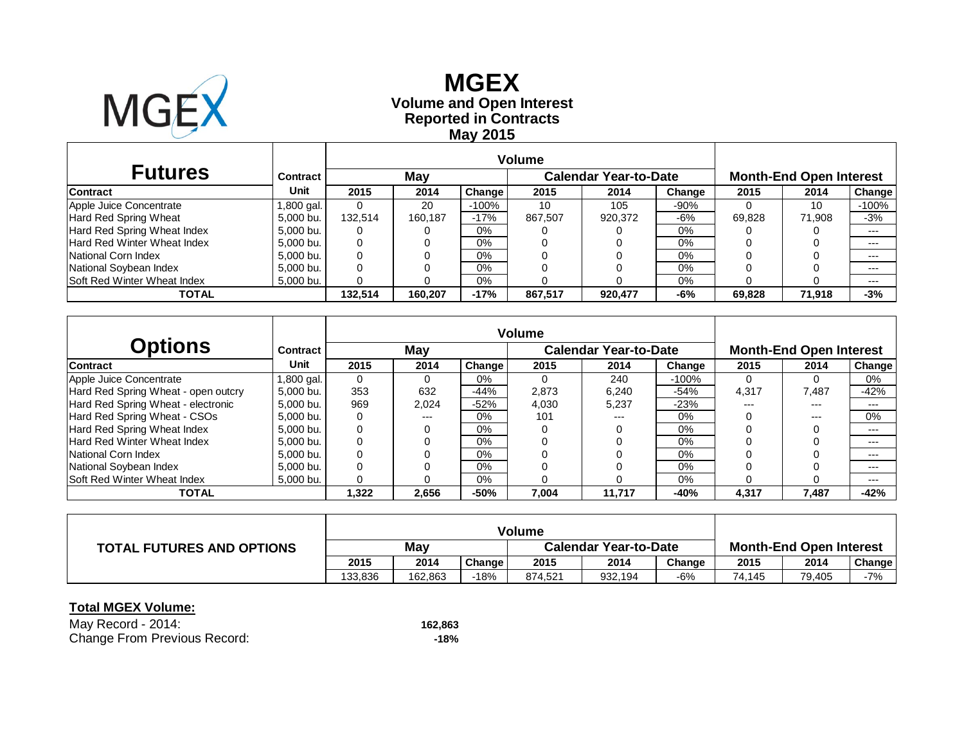

# **Reported in Contracts Volume and Open Interest MGEX May 2015**

| <b>Futures</b>                     | Contract   |         | May     |         |         | <b>Calendar Year-to-Date</b> | <b>Month-End Open Interest</b> |        |        |         |
|------------------------------------|------------|---------|---------|---------|---------|------------------------------|--------------------------------|--------|--------|---------|
| <b>Contract</b>                    | Unit       | 2015    | 2014    | Change  | 2015    | 2014                         | Change                         | 2015   | 2014   | Change  |
| Apple Juice Concentrate            | 1,800 gal. |         | 20      | $-100%$ | 10      | 105                          | $-90%$                         |        | 10     | $-100%$ |
| Hard Red Spring Wheat              | 5.000 bu.  | 132.514 | 160.187 | $-17%$  | 867.507 | 920,372                      | -6%                            | 69.828 | 71.908 | $-3%$   |
| Hard Red Spring Wheat Index        | 5,000 bu.  |         |         | $0\%$   |         |                              | 0%                             |        |        | $--$    |
| Hard Red Winter Wheat Index        | 5,000 bu.  | 0       |         | $0\%$   |         |                              | $0\%$                          |        |        | $---$   |
| National Corn Index                | 5,000 bu.  |         |         | $0\%$   |         |                              | $0\%$                          |        |        | $---$   |
| National Soybean Index             | 5,000 bu.  |         |         | $0\%$   |         |                              | $0\%$                          |        |        | $---$   |
| <b>Soft Red Winter Wheat Index</b> | 5,000 bu.  |         |         | $0\%$   |         |                              | 0%                             |        |        | $---$   |
| TOTAL                              |            | 132.514 | 160.207 | $-17%$  | 867.517 | 920,477                      | -6%                            | 69.828 | 71.918 | $-3%$   |

| <b>Options</b>                      | Contract  |             | May   |        |       | <b>Calendar Year-to-Date</b> |         |       | <b>Month-End Open Interest</b> |        |  |  |
|-------------------------------------|-----------|-------------|-------|--------|-------|------------------------------|---------|-------|--------------------------------|--------|--|--|
| <b>Contract</b>                     | Unit      | 2015        | 2014  | Change | 2015  | 2014                         | Change  | 2015  | 2014                           | Change |  |  |
| Apple Juice Concentrate             | ,800 gal. | $\Omega$    |       | 0%     |       | 240                          | $-100%$ |       |                                | 0%     |  |  |
| Hard Red Spring Wheat - open outcry | 5.000 bu. | 353         | 632   | $-44%$ | 2.873 | 6.240                        | $-54%$  | 4.317 | 7.487                          | $-42%$ |  |  |
| Hard Red Spring Wheat - electronic  | 5.000 bu. | 969         | 2,024 | $-52%$ | 4,030 | 5.237                        | $-23%$  | $---$ | $---$                          | $---$  |  |  |
| Hard Red Spring Wheat - CSOs        | 5.000 bu. | 0           | $---$ | 0%     | 101   | ---                          | 0%      |       | $---$                          | 0%     |  |  |
| Hard Red Spring Wheat Index         | 5.000 bu. | 0           |       | 0%     |       |                              | 0%      |       |                                | $---$  |  |  |
| Hard Red Winter Wheat Index         | 5.000 bu. | 0           |       | 0%     |       |                              | $0\%$   |       |                                | $---$  |  |  |
| National Corn Index                 | 5.000 bu. | $\mathbf 0$ |       | 0%     |       |                              | $0\%$   |       |                                | $---$  |  |  |
| National Soybean Index              | 5.000 bu. | $\Omega$    |       | 0%     |       |                              | $0\%$   |       |                                | $---$  |  |  |
| <b>Soft Red Winter Wheat Index</b>  | 5.000 bu. |             |       | 0%     |       |                              | $0\%$   |       |                                | $---$  |  |  |
| TOTAL                               |           | .322        | 2,656 | $-50%$ | 7,004 | 11,717                       | -40%    | 4,317 | 7,487                          | $-42%$ |  |  |

|                                  | <b>Volume</b> |         |        |                              |         |        |                                |        |        |
|----------------------------------|---------------|---------|--------|------------------------------|---------|--------|--------------------------------|--------|--------|
| <b>TOTAL FUTURES AND OPTIONS</b> | May           |         |        | <b>Calendar Year-to-Date</b> |         |        | <b>Month-End Open Interest</b> |        |        |
|                                  | 2015          | 2014    | Change | 2015                         | 2014    | Change | 2015                           | 2014   | Change |
|                                  | 133.836       | 162.863 | $-18%$ | 874.521                      | 932,194 | $-6%$  | 74.145                         | 79,405 | -7%    |

| May Record - 2014:           | 162.863 |
|------------------------------|---------|
| Change From Previous Record: | -18%    |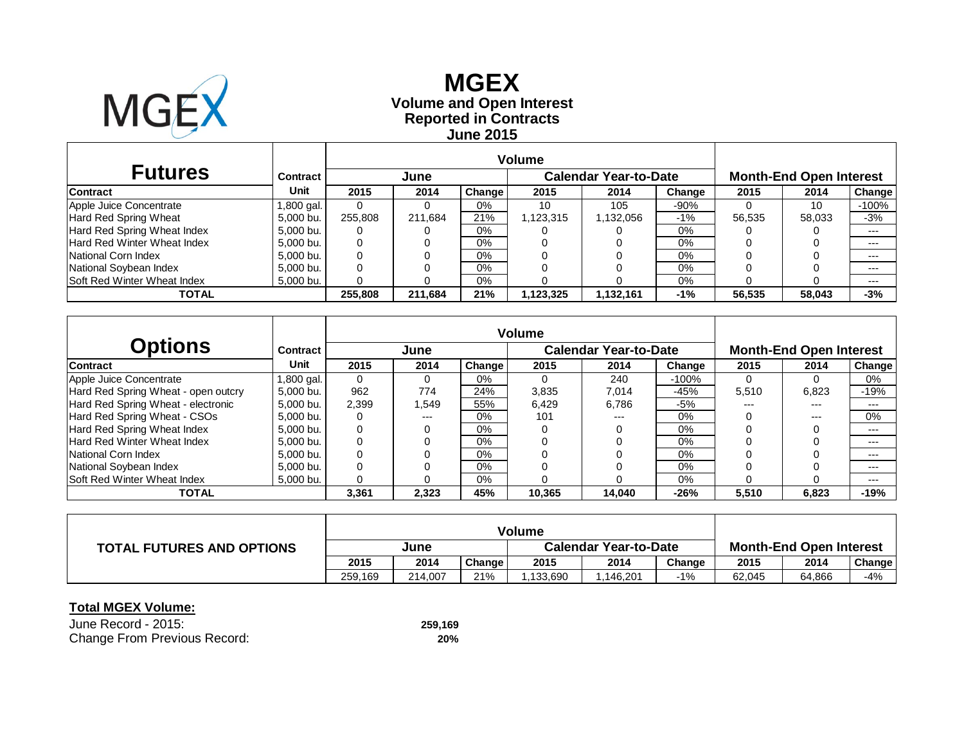

### **Reported in Contracts Volume and Open Interest MGEX June 2015**

| <b>Futures</b>                     | Contract   |         | June    |        |           | <b>Calendar Year-to-Date</b> | <b>Month-End Open Interest</b> |        |        |         |
|------------------------------------|------------|---------|---------|--------|-----------|------------------------------|--------------------------------|--------|--------|---------|
| <b>Contract</b>                    | Unit       | 2015    | 2014    | Change | 2015      | 2014                         | Change                         | 2015   | 2014   | Change  |
| Apple Juice Concentrate            | 1,800 gal. |         |         | $0\%$  | 10        | 105                          | $-90%$                         |        | 10     | $-100%$ |
| Hard Red Spring Wheat              | 5,000 bu.  | 255,808 | 211.684 | 21%    | 1,123,315 | 1,132,056                    | $-1\%$                         | 56,535 | 58.033 | $-3%$   |
| Hard Red Spring Wheat Index        | 5,000 bu.  |         |         | $0\%$  |           |                              | 0%                             |        |        | $--$    |
| Hard Red Winter Wheat Index        | 5,000 bu.  | 0       |         | $0\%$  |           |                              | $0\%$                          |        |        | $---$   |
| National Corn Index                | 5,000 bu.  |         |         | $0\%$  |           |                              | $0\%$                          |        |        | $--$    |
| National Soybean Index             | 5,000 bu.  |         |         | $0\%$  |           |                              | $0\%$                          |        |        | $---$   |
| <b>Soft Red Winter Wheat Index</b> | 5,000 bu.  |         |         | $0\%$  |           |                              | 0%                             |        |        | $---$   |
| TOTAL                              |            | 255,808 | 211.684 | 21%    | 1.123.325 | 1,132,161                    | $-1%$                          | 56,535 | 58.043 | $-3%$   |

| <b>Options</b>                      | Contract   |          | June  |                     | <b>Calendar Year-to-Date</b> |        |         | <b>Month-End Open Interest</b> |       |               |  |
|-------------------------------------|------------|----------|-------|---------------------|------------------------------|--------|---------|--------------------------------|-------|---------------|--|
| <b>Contract</b>                     | Unit       | 2015     | 2014  | Change <sup>1</sup> | 2015                         | 2014   | Change  | 2015                           | 2014  | <b>Change</b> |  |
| Apple Juice Concentrate             | 1,800 gal. | $\Omega$ | 0     | $0\%$               |                              | 240    | $-100%$ |                                |       | 0%            |  |
| Hard Red Spring Wheat - open outcry | 5.000 bu.  | 962      | 774   | 24%                 | 3,835                        | 7.014  | $-45%$  | 5,510                          | 6,823 | -19%          |  |
| Hard Red Spring Wheat - electronic  | 5.000 bu.  | 2,399    | .549  | 55%                 | 6,429                        | 6.786  | -5%     | ---                            | ---   | $---$         |  |
| Hard Red Spring Wheat - CSOs        | 5.000 bu.  | 0        | $---$ | 0%                  | 101                          | ---    | $0\%$   |                                | $---$ | 0%            |  |
| Hard Red Spring Wheat Index         | 5.000 bu.  | 0        | 0     | 0%                  |                              |        | $0\%$   |                                |       | $---$         |  |
| Hard Red Winter Wheat Index         | 5.000 bu.  | 0        |       | 0%                  |                              |        | $0\%$   |                                |       | $---$         |  |
| National Corn Index                 | 5.000 bu.  | 0        | ი     | 0%                  |                              |        | $0\%$   |                                |       | $---$         |  |
| National Soybean Index              | 5.000 bu.  | 0        |       | 0%                  |                              |        | $0\%$   |                                |       | $---$         |  |
| <b>Soft Red Winter Wheat Index</b>  | 5,000 bu.  | 0        |       | 0%                  |                              |        | $0\%$   |                                |       | $---$         |  |
| TOTAL                               |            | 3,361    | 2,323 | 45%                 | 10.365                       | 14.040 | $-26%$  | 5,510                          | 6,823 | $-19%$        |  |

|                                  | <b>Volume</b> |         |        |                              |          |        |                                |        |        |
|----------------------------------|---------------|---------|--------|------------------------------|----------|--------|--------------------------------|--------|--------|
| <b>TOTAL FUTURES AND OPTIONS</b> | June          |         |        | <b>Calendar Year-to-Date</b> |          |        | <b>Month-End Open Interest</b> |        |        |
|                                  | 2015          | 2014    | Change | 2015                         | 2014     | Change | 2015                           | 2014   | Change |
|                                  | 259,169       | 214.007 | 21%    | 1.133.690                    | .146,201 | -1%    | 62,045                         | 64,866 | $-4%$  |

| June Record - 2015:          | 259.169 |
|------------------------------|---------|
| Change From Previous Record: | 20%     |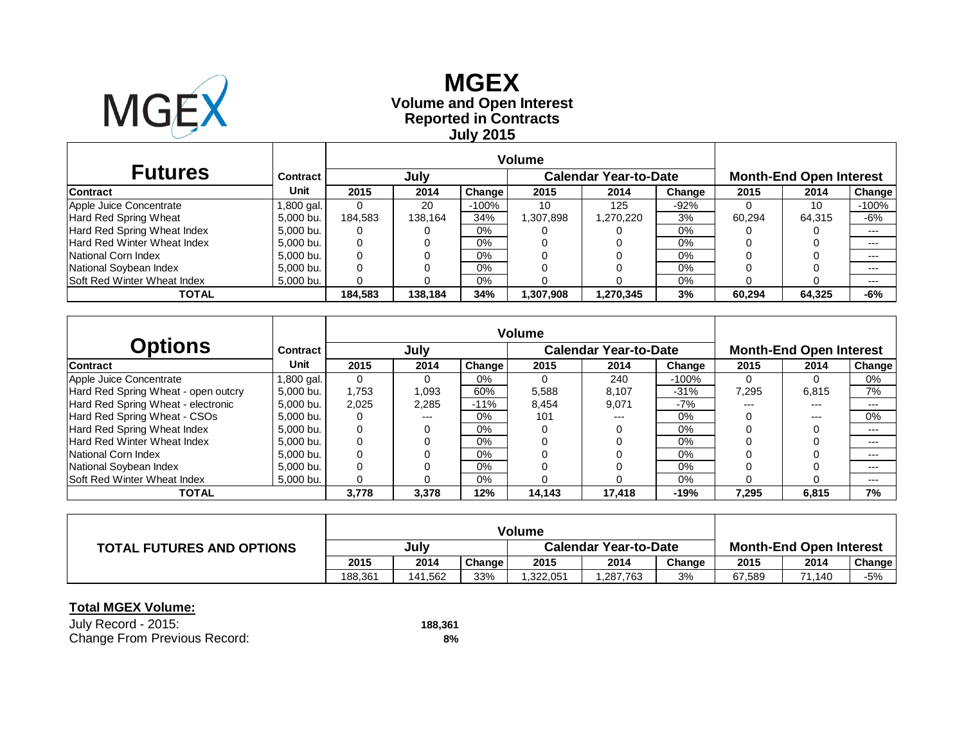

# **Reported in Contracts Volume and Open Interest MGEX July 2015**

| <b>Futures</b>                     | Contract   |         | July    |         |           | <b>Calendar Year-to-Date</b> | <b>Month-End Open Interest</b> |        |        |         |
|------------------------------------|------------|---------|---------|---------|-----------|------------------------------|--------------------------------|--------|--------|---------|
| <b>Contract</b>                    | Unit       | 2015    | 2014    | Change  | 2015      | 2014                         | Change                         | 2015   | 2014   | Change  |
| Apple Juice Concentrate            | 1,800 gal. |         | 20      | $-100%$ | 10        | 125                          | $-92%$                         |        | 10     | $-100%$ |
| Hard Red Spring Wheat              | 5,000 bu.  | 184.583 | 138.164 | 34%     | 1,307,898 | 1,270,220                    | 3%                             | 60,294 | 64.315 | $-6%$   |
| Hard Red Spring Wheat Index        | 5,000 bu.  |         |         | $0\%$   |           |                              | 0%                             |        |        | $--$    |
| Hard Red Winter Wheat Index        | 5,000 bu.  | 0       |         | $0\%$   |           |                              | $0\%$                          |        |        | $---$   |
| National Corn Index                | 5,000 bu.  |         |         | $0\%$   |           |                              | $0\%$                          |        |        | $---$   |
| National Soybean Index             | 5,000 bu.  |         |         | $0\%$   |           |                              | $0\%$                          |        |        | $---$   |
| <b>Soft Red Winter Wheat Index</b> | 5,000 bu.  |         |         | $0\%$   |           |                              | $0\%$                          |        |        | $---$   |
| TOTAL                              |            | 184.583 | 138.184 | 34%     | 1,307,908 | 1,270,345                    | 3%                             | 60.294 | 64.325 | -6%     |

| <b>Options</b>                      | Contract  |       | July  |        |        | <b>Calendar Year-to-Date</b> | <b>Month-End Open Interest</b> |       |       |        |
|-------------------------------------|-----------|-------|-------|--------|--------|------------------------------|--------------------------------|-------|-------|--------|
| <b>Contract</b>                     | Unit      | 2015  | 2014  | Change | 2015   | 2014                         | Change                         | 2015  | 2014  | Change |
| Apple Juice Concentrate             | .800 gal. | 0     | 0     | 0%     |        | 240                          | $-100%$                        |       |       | 0%     |
| Hard Red Spring Wheat - open outcry | 5.000 bu. | .753  | 1.093 | 60%    | 5,588  | 8.107                        | $-31%$                         | 7.295 | 6,815 | 7%     |
| Hard Red Spring Wheat - electronic  | 5,000 bu. | 2,025 | 2,285 | $-11%$ | 8,454  | 9,071                        | $-7%$                          | $---$ | ---   | ---    |
| Hard Red Spring Wheat - CSOs        | 5,000 bu. |       | $---$ | $0\%$  | 101    | $---$                        | 0%                             |       | $---$ | 0%     |
| Hard Red Spring Wheat Index         | 5.000 bu. | 0     | 0     | $0\%$  |        |                              | 0%                             |       |       | ---    |
| Hard Red Winter Wheat Index         | 5,000 bu. | 0     |       | $0\%$  |        |                              | 0%                             |       |       | $---$  |
| National Corn Index                 | 5.000 bu. | 0     |       | 0%     |        |                              | 0%                             |       |       | ---    |
| National Soybean Index              | 5,000 bu. |       |       | 0%     |        |                              | 0%                             |       |       | $---$  |
| <b>Soft Red Winter Wheat Index</b>  | 5,000 bu. |       |       | 0%     |        |                              | 0%                             |       |       | $---$  |
| <b>TOTAL</b>                        |           | 3,778 | 3,378 | 12%    | 14,143 | 17.418                       | $-19%$                         | 7.295 | 6,815 | 7%     |

|                                  | <b>Volume</b> |         |        |                              |          |        |                                |             |        |
|----------------------------------|---------------|---------|--------|------------------------------|----------|--------|--------------------------------|-------------|--------|
| <b>TOTAL FUTURES AND OPTIONS</b> | July          |         |        | <b>Calendar Year-to-Date</b> |          |        | <b>Month-End Open Interest</b> |             |        |
|                                  | 2015          | 2014    | Change | 2015                         | 2014     | Change | 2015                           | 2014        | Change |
|                                  | 188.361       | 141.562 | 33%    | 1.322.051                    | .287,763 | 3%     | 67,589                         | 1.140<br>71 | $-5%$  |

| July Record - 2015:          | 188.361 |
|------------------------------|---------|
| Change From Previous Record: | 8%      |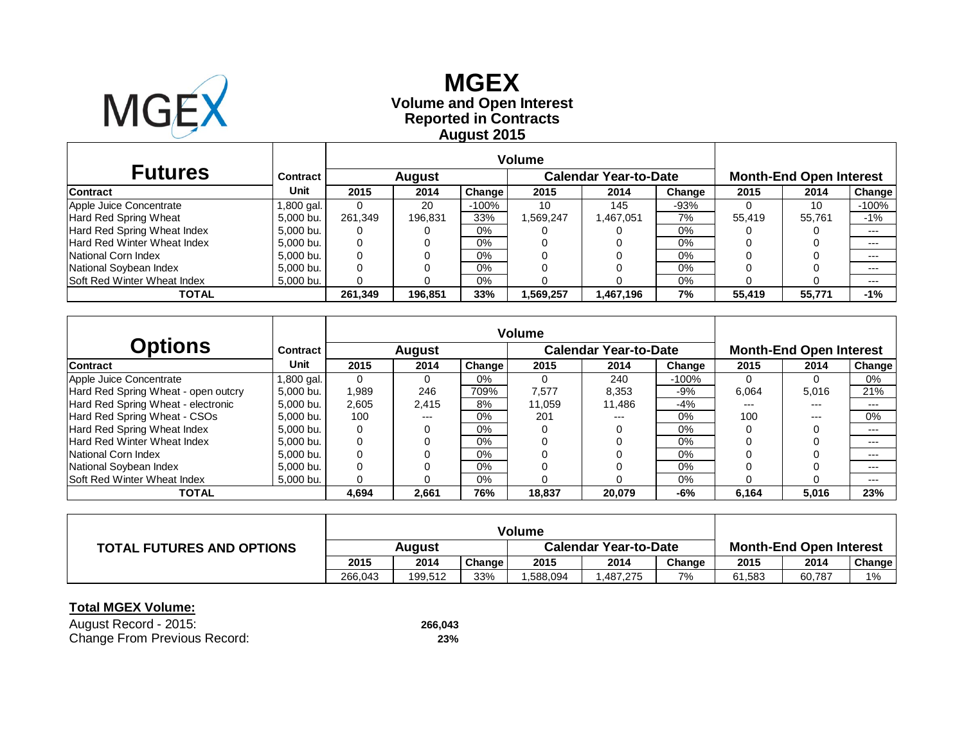

# **Reported in Contracts Volume and Open Interest MGEX August 2015**

|                                    |            |         |               | <b>Volume</b> |           |                              |                                |        |        |         |
|------------------------------------|------------|---------|---------------|---------------|-----------|------------------------------|--------------------------------|--------|--------|---------|
| <b>Futures</b>                     | Contract   |         | <b>August</b> |               |           | <b>Calendar Year-to-Date</b> | <b>Month-End Open Interest</b> |        |        |         |
| <b>Contract</b>                    | Unit       | 2015    | 2014          | Change        | 2015      | 2014                         | Change                         | 2015   | 2014   | Change  |
| Apple Juice Concentrate            | 1,800 gal. |         | 20            | $-100%$       | 10        | 145                          | $-93%$                         |        | 10     | $-100%$ |
| Hard Red Spring Wheat              | 5,000 bu.  | 261.349 | 196.831       | 33%           | 1,569,247 | 1,467,051                    | 7%                             | 55.419 | 55.761 | $-1%$   |
| Hard Red Spring Wheat Index        | 5,000 bu.  |         |               | $0\%$         |           |                              | 0%                             |        |        | $--$    |
| Hard Red Winter Wheat Index        | 5,000 bu.  | 0       |               | $0\%$         |           |                              | $0\%$                          |        |        | $---$   |
| National Corn Index                | 5,000 bu.  |         |               | $0\%$         |           |                              | $0\%$                          |        |        | $--$    |
| National Soybean Index             | 5,000 bu.  |         |               | $0\%$         |           |                              | $0\%$                          |        |        | $---$   |
| <b>Soft Red Winter Wheat Index</b> | 5,000 bu.  |         |               | $0\%$         |           |                              | $0\%$                          |        |        | $---$   |
| TOTAL                              |            | 261.349 | 196.851       | 33%           | 1,569,257 | 1,467,196                    | 7%                             | 55.419 | 55.771 | $-1%$   |

| <b>Options</b>                      | Contract      |             | <b>August</b> |               |        | <b>Calendar Year-to-Date</b> |         |       | <b>Month-End Open Interest</b> |        |
|-------------------------------------|---------------|-------------|---------------|---------------|--------|------------------------------|---------|-------|--------------------------------|--------|
| <b>Contract</b>                     | Unit          | 2015        | 2014          | <b>Change</b> | 2015   | 2014                         | Change  | 2015  | 2014                           | Change |
| Apple Juice Concentrate             | l ,800 gal. l | $\Omega$    | 0             | $0\%$         |        | 240                          | $-100%$ |       |                                | 0%     |
| Hard Red Spring Wheat - open outcry | 5.000 bu.     | 1,989       | 246           | 709%          | 7.577  | 8.353                        | -9%     | 6,064 | 5,016                          | 21%    |
| Hard Red Spring Wheat - electronic  | 5.000 bu.     | 2,605       | 2,415         | 8%            | 11.059 | 11.486                       | -4%     | ---   | ---                            | $---$  |
| Hard Red Spring Wheat - CSOs        | 5.000 bu.     | 100         | $---$         | 0%            | 201    | ---                          | $0\%$   | 100   | $---$                          | 0%     |
| Hard Red Spring Wheat Index         | 5.000 bu.     | 0           | 0             | 0%            |        |                              | $0\%$   |       |                                | $---$  |
| Hard Red Winter Wheat Index         | 5.000 bu.     | $\mathbf 0$ |               | 0%            |        |                              | $0\%$   |       |                                | $---$  |
| National Corn Index                 | 5.000 bu.     | 0           |               | 0%            |        |                              | $0\%$   |       |                                | $---$  |
| National Soybean Index              | 5.000 bu.     | 0           |               | 0%            |        |                              | $0\%$   |       |                                | $---$  |
| <b>Soft Red Winter Wheat Index</b>  | 5.000 bu.     | 0           |               | 0%            |        |                              | $0\%$   |       |                                | $---$  |
| TOTAL                               |               | 4,694       | 2,661         | 76%           | 18.837 | 20.079                       | -6%     | 6,164 | 5,016                          | 23%    |

|                                  | <b>Volume</b> |         |        |                              |          |        |                                |        |               |
|----------------------------------|---------------|---------|--------|------------------------------|----------|--------|--------------------------------|--------|---------------|
| <b>TOTAL FUTURES AND OPTIONS</b> | Auaust        |         |        | <b>Calendar Year-to-Date</b> |          |        | <b>Month-End Open Interest</b> |        |               |
|                                  | 2015          | 2014    | Change | 2015                         | 2014     | Change | 2015                           | 2014   | <b>Change</b> |
|                                  | 266.043       | 199.512 | 33%    | 1.588.094                    | ,487,275 | 7%     | 61,583                         | 60,787 | $1\%$         |

| August Record - 2015:        | 266.043 |
|------------------------------|---------|
| Change From Previous Record: | 23%     |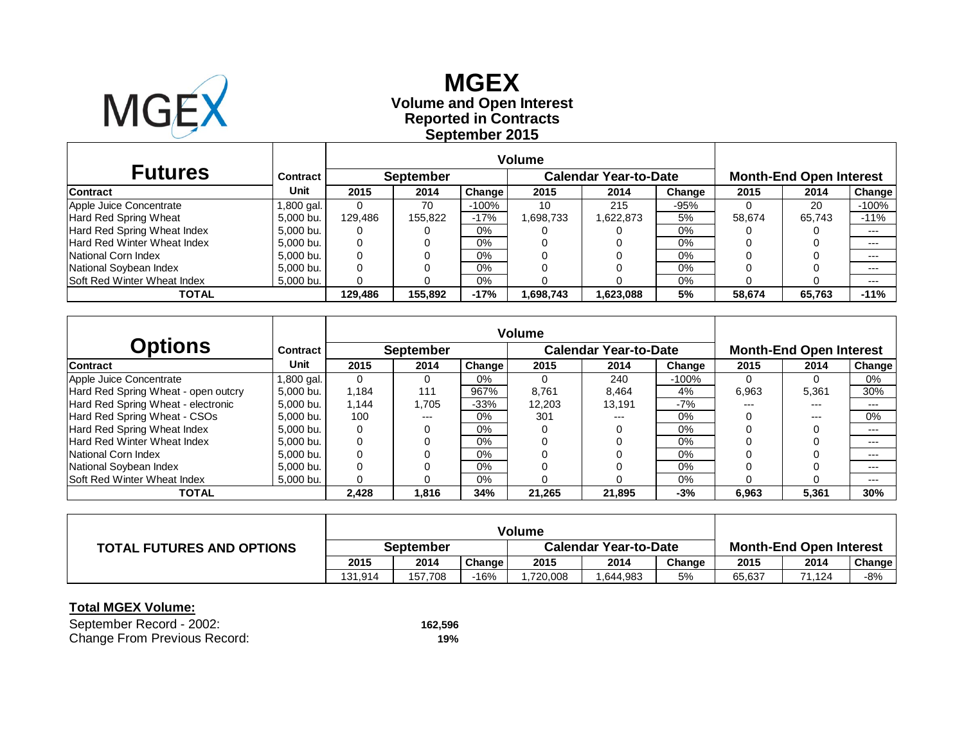

# **Reported in Contracts Volume and Open Interest MGEX September 2015**

| <b>Futures</b>                     | Contract  |         | <b>September</b> |         |          | <b>Calendar Year-to-Date</b> |        | <b>Month-End Open Interest</b> |        |         |
|------------------------------------|-----------|---------|------------------|---------|----------|------------------------------|--------|--------------------------------|--------|---------|
| <b>Contract</b>                    | Unit      | 2015    | 2014             | Change  | 2015     | 2014                         | Change | 2015                           | 2014   | Change  |
| Apple Juice Concentrate            | .800 gal. |         | 70               | $-100%$ | 10       | 215                          | -95%   |                                | 20     | $-100%$ |
| Hard Red Spring Wheat              | 5,000 bu. | 129.486 | 155.822          | $-17%$  | .698,733 | 1,622,873                    | 5%     | 58.674                         | 65.743 | $-11%$  |
| Hard Red Spring Wheat Index        | 5,000 bu. | 0       |                  | 0%      |          |                              | $0\%$  |                                |        | $---$   |
| <b>Hard Red Winter Wheat Index</b> | 5,000 bu. | 0       |                  | 0%      |          |                              | $0\%$  |                                |        | $---$   |
| National Corn Index                | 5.000 bu. | 0       |                  | 0%      |          |                              | $0\%$  |                                |        | $---$   |
| National Soybean Index             | 5,000 bu. | 0       |                  | 0%      |          |                              | 0%     |                                |        | $---$   |
| <b>Soft Red Winter Wheat Index</b> | 5,000 bu. |         |                  | 0%      |          |                              | $0\%$  |                                |        | $---$   |
| TOTAL                              |           | 129.486 | 155.892          | $-17%$  | .698,743 | 1.623.088                    | 5%     | 58.674                         | 65,763 | $-11%$  |

| <b>Options</b>                      | Contract  |             | <b>September</b> |               | <b>Calendar Year-to-Date</b> |        | <b>Month-End Open Interest</b> |       |       |        |
|-------------------------------------|-----------|-------------|------------------|---------------|------------------------------|--------|--------------------------------|-------|-------|--------|
| <b>Contract</b>                     | Unit      | 2015        | 2014             | <b>Change</b> | 2015                         | 2014   | Change                         | 2015  | 2014  | Change |
| Apple Juice Concentrate             | .800 gal. | $\Omega$    | 0                | 0%            |                              | 240    | $-100%$                        |       |       | 0%     |
| Hard Red Spring Wheat - open outcry | 5.000 bu. | 1.184       | 111              | 967%          | 8.761                        | 8.464  | 4%                             | 6,963 | 5.361 | 30%    |
| Hard Red Spring Wheat - electronic  | 5.000 bu. | 1.144       | 1,705            | $-33%$        | 12,203                       | 13.191 | $-7%$                          | ---   | ---   | $---$  |
| Hard Red Spring Wheat - CSOs        | 5.000 bu. | 100         | $---$            | 0%            | 301                          | $---$  | $0\%$                          |       | $---$ | 0%     |
| Hard Red Spring Wheat Index         | 5.000 bu. | $\mathbf 0$ | 0                | 0%            |                              |        | $0\%$                          |       |       | $---$  |
| Hard Red Winter Wheat Index         | 5.000 bu. | 0           |                  | 0%            |                              |        | $0\%$                          |       |       | $---$  |
| National Corn Index                 | 5.000 bu. | 0           |                  | 0%            |                              |        | $0\%$                          |       |       | $---$  |
| National Soybean Index              | 5.000 bu. | 0           |                  | 0%            |                              |        | $0\%$                          |       |       | $---$  |
| <b>Soft Red Winter Wheat Index</b>  | 5,000 bu. | 0           |                  | 0%            |                              |        | $0\%$                          |       |       | $---$  |
| TOTAL                               |           | 2,428       | 1,816            | 34%           | 21,265                       | 21.895 | $-3%$                          | 6,963 | 5,361 | 30%    |

|                                  | <b>Volume</b> |         |        |                              |         |        |                                |        |        |
|----------------------------------|---------------|---------|--------|------------------------------|---------|--------|--------------------------------|--------|--------|
| <b>TOTAL FUTURES AND OPTIONS</b> | September     |         |        | <b>Calendar Year-to-Date</b> |         |        | <b>Month-End Open Interest</b> |        |        |
|                                  | 2015          | 2014    | Change | 2015                         | 2014    | Change | 2015                           | 2014   | Change |
|                                  | 131.914       | 157.708 | $-16%$ | 1.720.008                    | 644,983 | 5%     | 65.637                         | 71.124 | -8%    |

| September Record - 2002:     | 162,596 |
|------------------------------|---------|
| Change From Previous Record: | 19%     |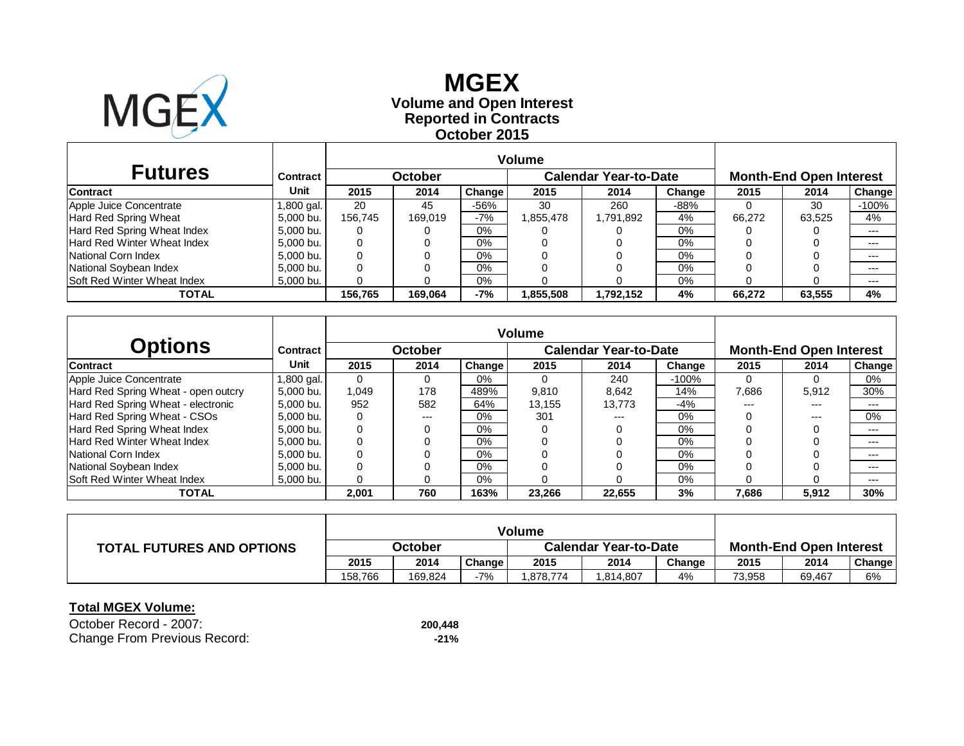

### **Reported in Contracts Volume and Open Interest MGEX October 2015**

| <b>Futures</b>                     | Contract   |         | October |        |           | <b>Calendar Year-to-Date</b> | <b>Month-End Open Interest</b> |        |        |         |
|------------------------------------|------------|---------|---------|--------|-----------|------------------------------|--------------------------------|--------|--------|---------|
| <b>Contract</b>                    | Unit       | 2015    | 2014    | Change | 2015      | 2014                         | Change                         | 2015   | 2014   | Change  |
| Apple Juice Concentrate            | 1,800 gal. | 20      | 45      | -56%   | 30        | 260                          | $-88%$                         |        | 30     | $-100%$ |
| Hard Red Spring Wheat              | 5,000 bu.  | 156.745 | 169.019 | -7%    | 1,855,478 | 1,791,892                    | 4%                             | 66.272 | 63.525 | 4%      |
| Hard Red Spring Wheat Index        | 5,000 bu.  |         |         | $0\%$  |           |                              | 0%                             |        |        | $---$   |
| Hard Red Winter Wheat Index        | 5,000 bu.  | 0       |         | $0\%$  |           |                              | $0\%$                          |        |        | $---$   |
| National Corn Index                | 5,000 bu.  |         |         | $0\%$  |           |                              | $0\%$                          |        |        | $---$   |
| National Soybean Index             | 5,000 bu.  |         |         | $0\%$  |           |                              | $0\%$                          |        |        | $---$   |
| <b>Soft Red Winter Wheat Index</b> | 5,000 bu.  |         |         | $0\%$  |           |                              | $0\%$                          |        |        | $---$   |
| TOTAL                              |            | 156.765 | 169.064 | -7%    | 1,855,508 | 1.792.152                    | 4%                             | 66.272 | 63.555 | 4%      |

|                                     |           | <b>Volume</b> |                |        |        |                              |         |       |                                |        |
|-------------------------------------|-----------|---------------|----------------|--------|--------|------------------------------|---------|-------|--------------------------------|--------|
| <b>Options</b>                      | Contract  |               | <b>October</b> |        |        | <b>Calendar Year-to-Date</b> |         |       | <b>Month-End Open Interest</b> |        |
| <b>Contract</b>                     | Unit      | 2015          | 2014           | Change | 2015   | 2014                         | Change  | 2015  | 2014                           | Change |
| Apple Juice Concentrate             | .800 gal. | 0             |                | $0\%$  |        | 240                          | $-100%$ |       |                                | $0\%$  |
| Hard Red Spring Wheat - open outcry | 5.000 bu. | 0.049         | 178            | 489%   | 9,810  | 8.642                        | 14%     | 7,686 | 5.912                          | 30%    |
| Hard Red Spring Wheat - electronic  | 5.000 bu. | 952           | 582            | 64%    | 13.155 | 13.773                       | -4%     | $---$ | $---$                          | $---$  |
| Hard Red Spring Wheat - CSOs        | 5.000 bu. | 0             | $---$          | 0%     | 301    | $- - -$                      | 0%      |       | $---$                          | 0%     |
| Hard Red Spring Wheat Index         | 5.000 bu. | 0             |                | $0\%$  |        |                              | 0%      |       |                                | ---    |
| <b>Hard Red Winter Wheat Index</b>  | 5.000 bu. | 0             |                | 0%     |        |                              | 0%      |       |                                | ---    |
| National Corn Index                 | 5.000 bu. |               |                | 0%     |        |                              | 0%      |       |                                | ---    |
| National Soybean Index              | 5.000 bu. | 0             |                | 0%     |        |                              | 0%      |       |                                | ---    |
| Soft Red Winter Wheat Index         | 5.000 bu. |               |                | 0%     |        |                              | 0%      |       |                                | $---$  |
| <b>TOTAL</b>                        |           | 2,001         | 760            | 163%   | 23,266 | 22.655                       | 3%      | 7,686 | 5,912                          | 30%    |

|                                  | <b>Volume</b> |         |        |                              |         |        |                                |        |        |
|----------------------------------|---------------|---------|--------|------------------------------|---------|--------|--------------------------------|--------|--------|
| <b>TOTAL FUTURES AND OPTIONS</b> | October       |         |        | <b>Calendar Year-to-Date</b> |         |        | <b>Month-End Open Interest</b> |        |        |
|                                  | 2015          | 2014    | Change | 2015                         | 2014    | Change | 2015                           | 2014   | Change |
|                                  | 158.766       | 169.824 | -7%    | .878.774                     | 814,807 | 4%     | 73,958                         | 69,467 | 6%     |

| October Record - 2007:       | 200.448 |
|------------------------------|---------|
| Change From Previous Record: | -21%    |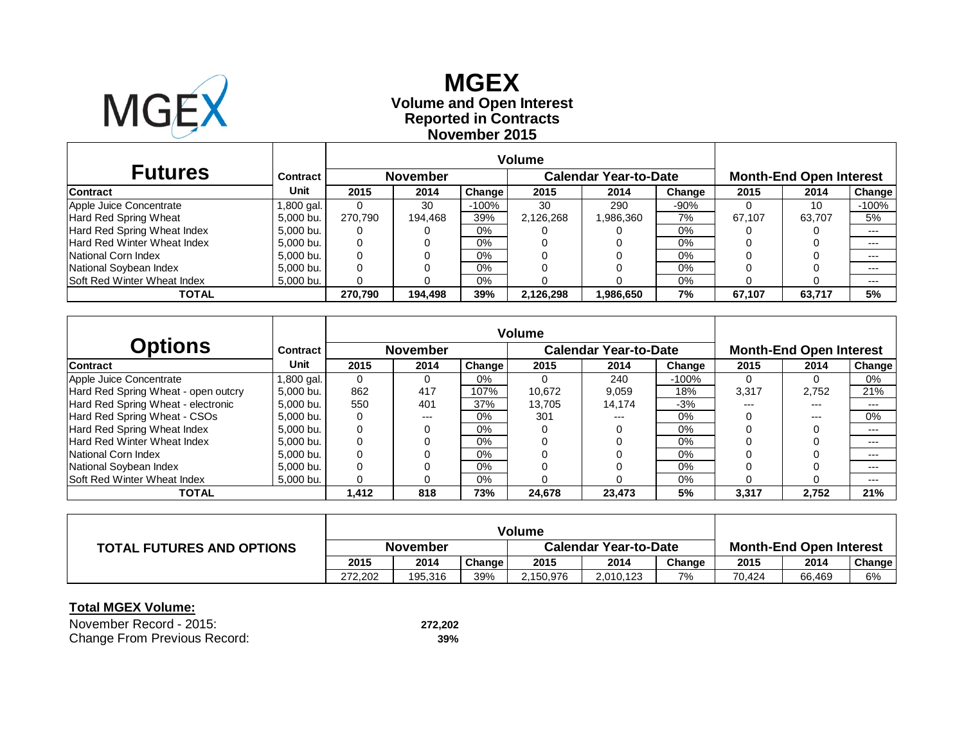

### **Reported in Contracts Volume and Open Interest MGEX November 2015**

| <b>Futures</b>                     | Contract  |         | <b>November</b> |         |           | <b>Calendar Year-to-Date</b> | <b>Month-End Open Interest</b> |        |        |         |
|------------------------------------|-----------|---------|-----------------|---------|-----------|------------------------------|--------------------------------|--------|--------|---------|
| <b>Contract</b>                    | Unit      | 2015    | 2014            | Change  | 2015      | 2014                         | Change                         | 2015   | 2014   | Change  |
| Apple Juice Concentrate            | .800 gal. |         | 30              | $-100%$ | 30        | 290                          | $-90%$                         |        | 10     | $-100%$ |
| Hard Red Spring Wheat              | 5,000 bu. | 270.790 | 194,468         | 39%     | 2,126,268 | .986,360                     | 7%                             | 67.107 | 63.707 | 5%      |
| Hard Red Spring Wheat Index        | 5,000 bu. | 0       |                 | 0%      |           |                              | $0\%$                          |        |        | $---$   |
| <b>Hard Red Winter Wheat Index</b> | 5,000 bu. | 0       |                 | 0%      |           |                              | $0\%$                          |        |        | $---$   |
| National Corn Index                | 5.000 bu. | 0       |                 | 0%      |           |                              | $0\%$                          |        |        | $---$   |
| National Soybean Index             | 5,000 bu. | 0       |                 | 0%      |           |                              | 0%                             |        |        | $---$   |
| <b>Soft Red Winter Wheat Index</b> | 5,000 bu. | 0       |                 | 0%      |           |                              | $0\%$                          |        |        | $---$   |
| TOTAL                              |           | 270.790 | 194.498         | 39%     | 2,126,298 | 1,986,650                    | 7%                             | 67.107 | 63,717 | 5%      |

| <b>Options</b>                      | Contract    |          | <b>November</b> |               |        | <b>Calendar Year-to-Date</b> |        |       | <b>Month-End Open Interest</b> |        |
|-------------------------------------|-------------|----------|-----------------|---------------|--------|------------------------------|--------|-------|--------------------------------|--------|
| <b>Contract</b>                     | Unit        | 2015     | 2014            | <b>Change</b> | 2015   | 2014                         | Change | 2015  | 2014                           | Change |
| Apple Juice Concentrate             | ا .800 gal. | $\Omega$ |                 | 0%            |        | 240                          | -100%  |       |                                | 0%     |
| Hard Red Spring Wheat - open outcry | 5.000 bu.   | 862      | 417             | 107%          | 10.672 | 9.059                        | 18%    | 3.317 | 2.752                          | 21%    |
| Hard Red Spring Wheat - electronic  | 5.000 bu.   | 550      | 401             | 37%           | 13.705 | 14.174                       | $-3%$  | $---$ | $---$                          | $---$  |
| Hard Red Spring Wheat - CSOs        | 5.000 bu.   | $\Omega$ | $---$           | 0%            | 301    | $---$                        | $0\%$  |       | $---$                          | 0%     |
| Hard Red Spring Wheat Index         | 5.000 bu.   | 0        |                 | 0%            |        |                              | $0\%$  |       |                                | $---$  |
| Hard Red Winter Wheat Index         | 5.000 bu.   | 0        |                 | 0%            |        |                              | $0\%$  |       |                                | $---$  |
| National Corn Index                 | 5.000 bu.   | 0        |                 | 0%            |        |                              | $0\%$  |       |                                | $---$  |
| National Soybean Index              | 5.000 bu.   | $\Omega$ |                 | 0%            |        |                              | $0\%$  |       |                                | $---$  |
| <b>Soft Red Winter Wheat Index</b>  | 5.000 bu.   | 0        |                 | 0%            |        |                              | $0\%$  |       |                                | $---$  |
| TOTAL                               |             | 1.412    | 818             | 73%           | 24,678 | 23.473                       | 5%     | 3,317 | 2.752                          | 21%    |

|                                  | <b>Volume</b> |         |        |                              |           |        |                                |        |        |
|----------------------------------|---------------|---------|--------|------------------------------|-----------|--------|--------------------------------|--------|--------|
| <b>TOTAL FUTURES AND OPTIONS</b> | November      |         |        | <b>Calendar Year-to-Date</b> |           |        | <b>Month-End Open Interest</b> |        |        |
|                                  | 2015          | 2014    | Change | 2015                         | 2014      | Change | 2015                           | 2014   | Change |
|                                  | 272.202       | 195.316 | 39%    | 2.150.976                    | 2,010,123 | 7%     | 70.424                         | 66,469 | 6%     |

| November Record - 2015:      | 272.202 |
|------------------------------|---------|
| Change From Previous Record: | 39%     |